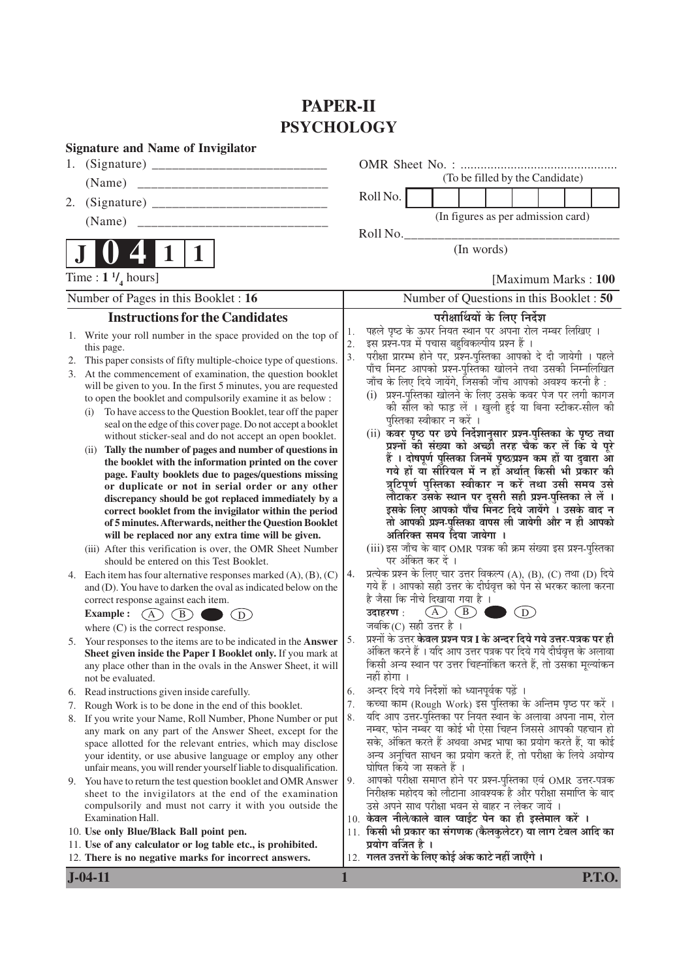# **PAPER-II PSYCHOLOGY**

|                | <b>Signature and Name of Invigilator</b>                                                                                                                                                                                                                                                                                                                                                                                                                                                                                                                                                                                                                                                                                                                                                                                                                                                                                                                                                                                                                                                                              |                |                                                                                                                                                                                                                                                                                                                                                                                                                                                                                                                                                                                                                                                                                                                                                                                                                                                                                                                                                                                                                                                                            |
|----------------|-----------------------------------------------------------------------------------------------------------------------------------------------------------------------------------------------------------------------------------------------------------------------------------------------------------------------------------------------------------------------------------------------------------------------------------------------------------------------------------------------------------------------------------------------------------------------------------------------------------------------------------------------------------------------------------------------------------------------------------------------------------------------------------------------------------------------------------------------------------------------------------------------------------------------------------------------------------------------------------------------------------------------------------------------------------------------------------------------------------------------|----------------|----------------------------------------------------------------------------------------------------------------------------------------------------------------------------------------------------------------------------------------------------------------------------------------------------------------------------------------------------------------------------------------------------------------------------------------------------------------------------------------------------------------------------------------------------------------------------------------------------------------------------------------------------------------------------------------------------------------------------------------------------------------------------------------------------------------------------------------------------------------------------------------------------------------------------------------------------------------------------------------------------------------------------------------------------------------------------|
|                |                                                                                                                                                                                                                                                                                                                                                                                                                                                                                                                                                                                                                                                                                                                                                                                                                                                                                                                                                                                                                                                                                                                       |                |                                                                                                                                                                                                                                                                                                                                                                                                                                                                                                                                                                                                                                                                                                                                                                                                                                                                                                                                                                                                                                                                            |
|                |                                                                                                                                                                                                                                                                                                                                                                                                                                                                                                                                                                                                                                                                                                                                                                                                                                                                                                                                                                                                                                                                                                                       |                | (To be filled by the Candidate)                                                                                                                                                                                                                                                                                                                                                                                                                                                                                                                                                                                                                                                                                                                                                                                                                                                                                                                                                                                                                                            |
| 2.             |                                                                                                                                                                                                                                                                                                                                                                                                                                                                                                                                                                                                                                                                                                                                                                                                                                                                                                                                                                                                                                                                                                                       |                | Roll No.                                                                                                                                                                                                                                                                                                                                                                                                                                                                                                                                                                                                                                                                                                                                                                                                                                                                                                                                                                                                                                                                   |
|                | (Name)<br>_____________________________                                                                                                                                                                                                                                                                                                                                                                                                                                                                                                                                                                                                                                                                                                                                                                                                                                                                                                                                                                                                                                                                               |                | (In figures as per admission card)                                                                                                                                                                                                                                                                                                                                                                                                                                                                                                                                                                                                                                                                                                                                                                                                                                                                                                                                                                                                                                         |
|                |                                                                                                                                                                                                                                                                                                                                                                                                                                                                                                                                                                                                                                                                                                                                                                                                                                                                                                                                                                                                                                                                                                                       |                | Roll No.                                                                                                                                                                                                                                                                                                                                                                                                                                                                                                                                                                                                                                                                                                                                                                                                                                                                                                                                                                                                                                                                   |
|                | 1                                                                                                                                                                                                                                                                                                                                                                                                                                                                                                                                                                                                                                                                                                                                                                                                                                                                                                                                                                                                                                                                                                                     |                | (In words)                                                                                                                                                                                                                                                                                                                                                                                                                                                                                                                                                                                                                                                                                                                                                                                                                                                                                                                                                                                                                                                                 |
|                | Time : $1 \frac{1}{4}$ hours]                                                                                                                                                                                                                                                                                                                                                                                                                                                                                                                                                                                                                                                                                                                                                                                                                                                                                                                                                                                                                                                                                         |                | [Maximum Marks: 100]                                                                                                                                                                                                                                                                                                                                                                                                                                                                                                                                                                                                                                                                                                                                                                                                                                                                                                                                                                                                                                                       |
|                | Number of Pages in this Booklet : 16                                                                                                                                                                                                                                                                                                                                                                                                                                                                                                                                                                                                                                                                                                                                                                                                                                                                                                                                                                                                                                                                                  |                | Number of Questions in this Booklet: 50                                                                                                                                                                                                                                                                                                                                                                                                                                                                                                                                                                                                                                                                                                                                                                                                                                                                                                                                                                                                                                    |
|                | <b>Instructions for the Candidates</b>                                                                                                                                                                                                                                                                                                                                                                                                                                                                                                                                                                                                                                                                                                                                                                                                                                                                                                                                                                                                                                                                                |                | परीक्षार्थियों के लिए निर्देश                                                                                                                                                                                                                                                                                                                                                                                                                                                                                                                                                                                                                                                                                                                                                                                                                                                                                                                                                                                                                                              |
| 1.<br>2.<br>3. | Write your roll number in the space provided on the top of<br>this page.<br>This paper consists of fifty multiple-choice type of questions.<br>At the commencement of examination, the question booklet<br>will be given to you. In the first 5 minutes, you are requested<br>to open the booklet and compulsorily examine it as below :<br>To have access to the Question Booklet, tear off the paper<br>(1)<br>seal on the edge of this cover page. Do not accept a booklet<br>without sticker-seal and do not accept an open booklet.<br>(ii) Tally the number of pages and number of questions in<br>the booklet with the information printed on the cover<br>page. Faulty booklets due to pages/questions missing<br>or duplicate or not in serial order or any other<br>discrepancy should be got replaced immediately by a<br>correct booklet from the invigilator within the period<br>of 5 minutes. Afterwards, neither the Question Booklet<br>will be replaced nor any extra time will be given.<br>(iii) After this verification is over, the OMR Sheet Number<br>should be entered on this Test Booklet. | 1.<br>2.<br>3. | पहले पृष्ठ के ऊपर नियत स्थान पर अपना रोल नम्बर लिखिए ।<br>इस प्रश्न-पत्र में पचास बहुविकल्पीय प्रश्न हैं ।<br>परीक्षा प्रारम्भ होने पर, प्रश्न-पुस्तिका आपको दे दी जायेगी । पहले<br>पाँच मिनट आपको प्रश्न-पुस्तिका खोलने तथा उसकी निम्नलिखित<br>जाँच के लिए दिये जायेंगे, जिसकी जाँच आपको अवश्य करनी है :<br>प्रश्न-पुस्तिका खोलने के लिए उसके कवर पेज पर लगी कागज<br>(i)<br>की सील को फाड़ लें । खुली हुई या बिना स्टीकर-सील की<br>पुस्तिका स्वीकार न करें ।<br>(ii) कवर पृष्ठ पर छपे निर्देशानुसार प्रश्न-पुस्तिका के पृष्ठ तथा<br>प्रश्नों की संख्या को अच्छी तरह चैक कर लें कि ये पूरे<br>हैं । दोषपूर्ण पुस्तिका जिनमें पृष्ठ/प्रश्न कम हों या दुबारा आ<br>गये हों या सीरियल में न हों अर्थात् किसी भी प्रकार की<br>त्रुटिपूर्ण पुस्तिका स्वीकार न करें तथा उसी समय उसे<br>लौटाकर उसके स्थान पर दूसरी सही प्रश्न-पुस्तिका ले लें ।<br>इसके लिए आपको पाँच मिनट दिये जायेंगे । उसके बाद न<br>तो आपकी प्रश्न-पुस्तिका वापस ली जायेगी और न ही आपको<br>अतिरिक्त समय दिया जायेगा ।<br>(iii) इस जाँच के बाद OMR पत्रक की क्रम संख्या इस प्रश्न-पुस्तिका<br>पर अंकित कर दें । |
|                | 4. Each item has four alternative responses marked $(A)$ , $(B)$ , $(C)$<br>and (D). You have to darken the oval as indicated below on the<br>correct response against each item.<br>$\overline{A}$ $\overline{C}$<br><b>Example :</b><br>(B)<br>$\left( \overline{\mathbf{D}}\right)$<br>where $(C)$ is the correct response.                                                                                                                                                                                                                                                                                                                                                                                                                                                                                                                                                                                                                                                                                                                                                                                        | 4.             | प्रत्येक प्रश्न के लिए चार उत्तर विकल्प (A), (B), (C) तथा (D) दिये<br>गये हैं । आपको सही उत्तर के दीर्घवृत्त को पेन से भरकर काला करना<br>है जैसा कि नीचे दिखाया गया है ।<br>$(A)$ $(B)$<br>(D)<br>उदाहरण :<br>जबकि(C) सही उत्तर है ।                                                                                                                                                                                                                                                                                                                                                                                                                                                                                                                                                                                                                                                                                                                                                                                                                                       |
|                | 5. Your responses to the items are to be indicated in the Answer<br>Sheet given inside the Paper I Booklet only. If you mark at<br>any place other than in the ovals in the Answer Sheet, it will<br>not be evaluated.                                                                                                                                                                                                                                                                                                                                                                                                                                                                                                                                                                                                                                                                                                                                                                                                                                                                                                | 5.             | प्रश्नों के उत्तर <b>केवल प्रश्न पत्र I के अन्दर दिये गये उत्तर-पत्रक पर ही</b><br>अंकित करने हैं । यदि आप उत्तर पत्रक पर दिये गये दीर्घवृत्त के अलावा<br>किसी अन्य स्थान पर उत्तर चिह्नांकित करते हैं, तो उसका मूल्यांकन<br>नहीं होगा ।                                                                                                                                                                                                                                                                                                                                                                                                                                                                                                                                                                                                                                                                                                                                                                                                                                   |
| 6.             | Read instructions given inside carefully.                                                                                                                                                                                                                                                                                                                                                                                                                                                                                                                                                                                                                                                                                                                                                                                                                                                                                                                                                                                                                                                                             | 6.<br>7.       | अन्दर दिये गये निर्देशों को ध्यानपूर्वक पढ़ें ।<br>कच्चा काम (Rough Work) इस पुस्तिका के अन्तिम पृष्ठ पर करें ।                                                                                                                                                                                                                                                                                                                                                                                                                                                                                                                                                                                                                                                                                                                                                                                                                                                                                                                                                            |
| 7.<br>8.       | Rough Work is to be done in the end of this booklet.<br>If you write your Name, Roll Number, Phone Number or put                                                                                                                                                                                                                                                                                                                                                                                                                                                                                                                                                                                                                                                                                                                                                                                                                                                                                                                                                                                                      | 8.             | यदि आप उत्तर-पुस्तिका पर नियत स्थान के अलावा अपना नाम, रोल                                                                                                                                                                                                                                                                                                                                                                                                                                                                                                                                                                                                                                                                                                                                                                                                                                                                                                                                                                                                                 |
|                | any mark on any part of the Answer Sheet, except for the<br>space allotted for the relevant entries, which may disclose<br>your identity, or use abusive language or employ any other<br>unfair means, you will render yourself liable to disqualification.<br>9. You have to return the test question booklet and OMR Answer<br>sheet to the invigilators at the end of the examination<br>compulsorily and must not carry it with you outside the<br>Examination Hall.                                                                                                                                                                                                                                                                                                                                                                                                                                                                                                                                                                                                                                              | 9.             | नम्बर, फोन नम्बर या कोई भी ऐसा चिह्न जिससे आपकी पहचान हो<br>सके, अंकित करते हैं अथवा अभद्र भाषा का प्रयोग करते हैं, या कोई<br>अन्य अनुचित साधन का प्रयोग करते हैं, तो परीक्षा के लिये अयोग्य<br>घोषित किये जा सकते हैं ।<br>आपको परीक्षा समाप्त होने पर प्रश्न-पुस्तिका एवं OMR उत्तर-पत्रक<br>निरीक्षक महोदय को लौटाना आवश्यक है और परीक्षा समाप्ति के बाद<br>उसे अपने साथ परीक्षा भवन से बाहर न लेकर जायें ।<br>10. केवल नीले/काले बाल प्वाईंट पेन का ही इस्तेमाल करें ।                                                                                                                                                                                                                                                                                                                                                                                                                                                                                                                                                                                                 |
|                | 10. Use only Blue/Black Ball point pen.                                                                                                                                                                                                                                                                                                                                                                                                                                                                                                                                                                                                                                                                                                                                                                                                                                                                                                                                                                                                                                                                               |                | 11. किसी भी प्रकार का संगणक (कैलकुलेटर) या लाग टेबल आदि का                                                                                                                                                                                                                                                                                                                                                                                                                                                                                                                                                                                                                                                                                                                                                                                                                                                                                                                                                                                                                 |
|                | 11. Use of any calculator or log table etc., is prohibited.<br>12. There is no negative marks for incorrect answers.                                                                                                                                                                                                                                                                                                                                                                                                                                                                                                                                                                                                                                                                                                                                                                                                                                                                                                                                                                                                  |                | प्रयोग वर्जित है ।<br>12. गलत उत्तरों के लिए कोई अंक काटे नहीं जाएँगे ।                                                                                                                                                                                                                                                                                                                                                                                                                                                                                                                                                                                                                                                                                                                                                                                                                                                                                                                                                                                                    |

**J-04-11 1 P.T.O.**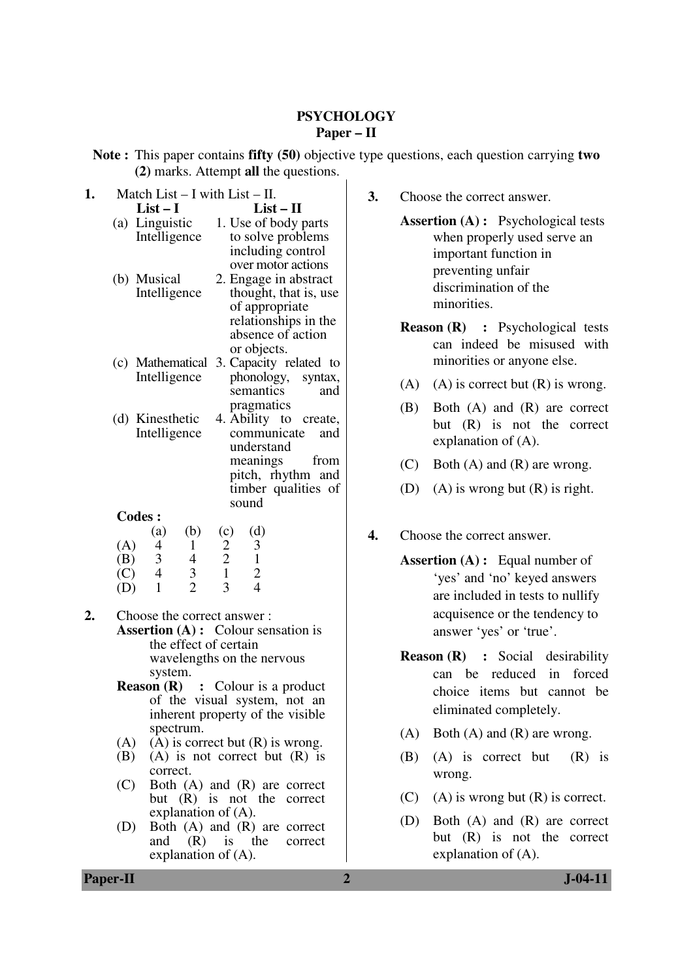#### **PSYCHOLOGY Paper – II**

**Note :** This paper contains **fifty (50)** objective type questions, each question carrying **two (2)** marks. Attempt **all** the questions.

| 1. |                                         | Match List $- I$ with List $- II$ .   |                          |                                            |                                                                            |  |  |  |  |
|----|-----------------------------------------|---------------------------------------|--------------------------|--------------------------------------------|----------------------------------------------------------------------------|--|--|--|--|
|    |                                         | $List-I$                              |                          |                                            | $List-II$                                                                  |  |  |  |  |
|    | Linguistic<br>(a)<br>Intelligence       |                                       |                          | 1. Use of body parts                       |                                                                            |  |  |  |  |
|    |                                         |                                       |                          |                                            | to solve problems                                                          |  |  |  |  |
|    |                                         |                                       |                          |                                            | including control<br>over motor actions                                    |  |  |  |  |
|    |                                         | (b) Musical                           |                          |                                            | 2. Engage in abstract                                                      |  |  |  |  |
|    |                                         | Intelligence                          |                          |                                            | thought, that is, use                                                      |  |  |  |  |
|    |                                         |                                       |                          |                                            | of appropriate                                                             |  |  |  |  |
|    |                                         |                                       |                          |                                            | relationships in the                                                       |  |  |  |  |
|    |                                         |                                       |                          |                                            | absence of action                                                          |  |  |  |  |
|    |                                         |                                       |                          |                                            | or objects.                                                                |  |  |  |  |
|    |                                         | (c) Mathematical                      |                          |                                            | 3. Capacity related to                                                     |  |  |  |  |
|    |                                         | Intelligence                          |                          |                                            | phonology,<br>syntax,                                                      |  |  |  |  |
|    |                                         |                                       |                          | semantics<br>and                           |                                                                            |  |  |  |  |
|    |                                         |                                       |                          |                                            | pragmatics                                                                 |  |  |  |  |
|    |                                         | (d) Kinesthetic<br>Intelligence       |                          |                                            | 4. Ability to create,<br>and                                               |  |  |  |  |
|    |                                         |                                       |                          | communicate<br>understand                  |                                                                            |  |  |  |  |
|    |                                         |                                       |                          |                                            | meanings<br>from                                                           |  |  |  |  |
|    |                                         |                                       |                          |                                            | pitch, rhythm and                                                          |  |  |  |  |
|    |                                         |                                       |                          |                                            | timber qualities of                                                        |  |  |  |  |
|    |                                         |                                       |                          |                                            | sound                                                                      |  |  |  |  |
|    |                                         | <b>Codes:</b>                         |                          |                                            |                                                                            |  |  |  |  |
|    |                                         | (a)                                   | (b)                      | (c)                                        | (d)                                                                        |  |  |  |  |
|    | (A)                                     | 4                                     | $\mathbf 1$              | $\begin{array}{c} 2 \\ 2 \\ 1 \end{array}$ |                                                                            |  |  |  |  |
|    | (B)                                     | $\begin{array}{c} 3 \\ 4 \end{array}$ | $\overline{\mathcal{L}}$ |                                            |                                                                            |  |  |  |  |
|    | $\overline{(\text{C})}$<br>$(\text{D})$ | $\mathbf{1}$                          | $\frac{3}{2}$            | 3                                          | $\begin{array}{c} 3 \\ 1 \\ 2 \\ 4 \end{array}$                            |  |  |  |  |
|    |                                         |                                       |                          |                                            |                                                                            |  |  |  |  |
| 2. |                                         | Choose the correct answer:            |                          |                                            |                                                                            |  |  |  |  |
|    |                                         |                                       |                          |                                            | <b>Assertion (A) :</b> Colour sensation is                                 |  |  |  |  |
|    |                                         |                                       | the effect of certain    |                                            |                                                                            |  |  |  |  |
|    |                                         |                                       |                          |                                            | wavelengths on the nervous                                                 |  |  |  |  |
|    |                                         | system.                               |                          |                                            |                                                                            |  |  |  |  |
|    |                                         |                                       |                          |                                            | <b>Reason (R)</b> : Colour is a product<br>of the visual system, not<br>an |  |  |  |  |
|    |                                         |                                       |                          |                                            | inherent property of the visible                                           |  |  |  |  |
|    |                                         |                                       | spectrum.                |                                            |                                                                            |  |  |  |  |
|    | (A)                                     |                                       |                          |                                            | $(A)$ is correct but $(R)$ is wrong.                                       |  |  |  |  |
|    |                                         | (B)                                   |                          |                                            | $(A)$ is not correct but $(R)$ is                                          |  |  |  |  |
|    |                                         | correct.                              |                          |                                            |                                                                            |  |  |  |  |
|    | (C)                                     |                                       |                          |                                            | Both $(A)$ and $(R)$ are correct                                           |  |  |  |  |
|    |                                         |                                       | explanation of $(A)$ .   |                                            | but $(R)$ is not the correct                                               |  |  |  |  |
|    |                                         |                                       |                          |                                            |                                                                            |  |  |  |  |

 (D) Both (A) and (R) are correct and (R) is the correct explanation of (A).

**3.** Choose the correct answer.

**Assertion (A) :** Psychological tests when properly used serve an important function in preventing unfair discrimination of the minorities.

- **Reason (R) :** Psychological tests can indeed be misused with minorities or anyone else.
- (A) (A) is correct but  $(R)$  is wrong.
- (B) Both (A) and (R) are correct but (R) is not the correct explanation of (A).
- (C) Both (A) and (R) are wrong.
- (D) (A) is wrong but  $(R)$  is right.
- **4.** Choose the correct answer.
	- **Assertion (A) :** Equal number of 'yes' and 'no' keyed answers are included in tests to nullify acquisence or the tendency to answer 'yes' or 'true'.
	- **Reason (R) :** Social desirability can be reduced in forced choice items but cannot be eliminated completely.
	- (A) Both (A) and (R) are wrong.
	- $(B)$   $(A)$  is correct but  $(R)$  is wrong.
	- (C) (A) is wrong but  $(R)$  is correct.
	- (D) Both (A) and (R) are correct but (R) is not the correct explanation of (A).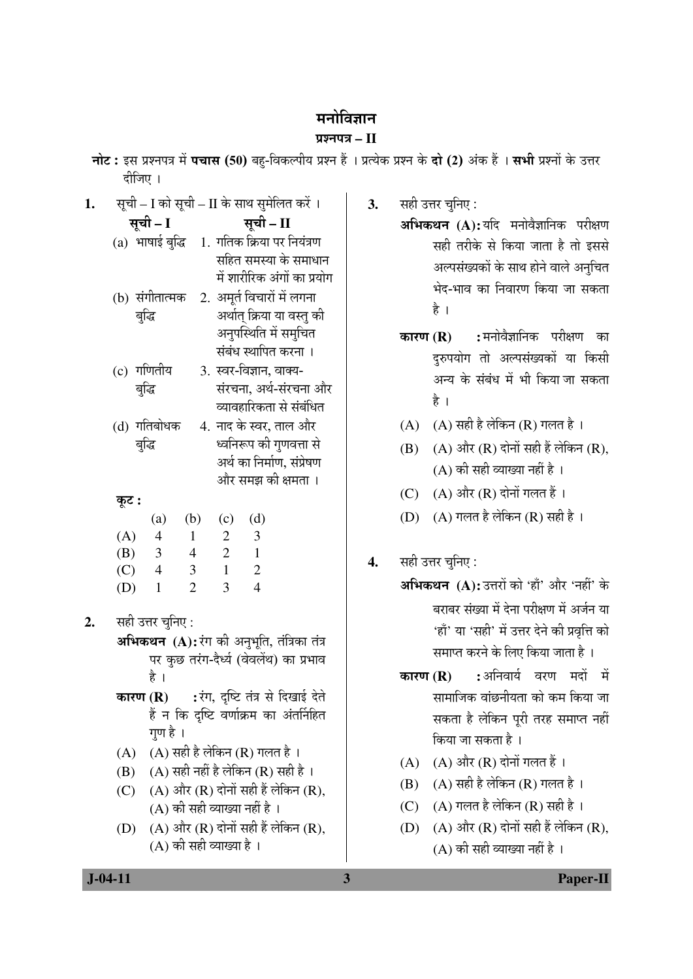### मनोविज्ञान

### $\overline{u}$  use  $\overline{u}$  and  $\overline{u}$  and  $\overline{u}$

| नोट: इस प्रश्नपत्र में पचास (50) बहु-विकल्पीय प्रश्न हैं । प्रत्येक प्रश्न के दो (2) अंक हैं । सभी प्रश्नों के उत्तर |  |  |  |
|----------------------------------------------------------------------------------------------------------------------|--|--|--|
| दीजिए ।                                                                                                              |  |  |  |

| 1. |          |                          |                |                           | सूची – I को सूची – II के साथ सुमेलित करें ।       |  |  |
|----|----------|--------------------------|----------------|---------------------------|---------------------------------------------------|--|--|
|    | सूची – I |                          |                |                           | सूची - II                                         |  |  |
|    |          |                          |                |                           | (a) भाषाई बुद्धि 1. गतिक क्रिया पर नियंत्रण       |  |  |
|    |          |                          |                |                           | सहित समस्या के समाधान                             |  |  |
|    |          |                          |                |                           | में शारीरिक अंगों का प्रयोग                       |  |  |
|    |          | (b) संगीतात्मक           |                |                           | 2. अमूर्त विचारों में लगना                        |  |  |
|    |          | बुद्धि                   |                |                           | अर्थात् क्रिया या वस्तु की                        |  |  |
|    |          |                          |                |                           | अनुपस्थिति में समुचित                             |  |  |
|    |          |                          |                |                           | संबंध स्थापित करना ।                              |  |  |
|    |          | (c) गणितीय               |                |                           | 3. स्वर-विज्ञान, वाक्य-                           |  |  |
|    |          | बुद्धि                   |                |                           | संरचना, अर्थ-संरचना और                            |  |  |
|    |          |                          |                |                           | व्यावहारिकता से संबंधित                           |  |  |
|    |          | (d) गतिबोधक              |                |                           | 4. नाद के स्वर, ताल और                            |  |  |
|    |          | बुद्धि                   |                | ध्वनिरूप की गुणवत्ता से   |                                                   |  |  |
|    |          |                          |                | अर्थ का निर्माण, संप्रेषण |                                                   |  |  |
|    |          |                          |                |                           | और समझ की क्षमता ।                                |  |  |
|    | कूट :    |                          |                |                           |                                                   |  |  |
|    |          | (a)                      | (b)            | (c)                       | (d)                                               |  |  |
|    | (A)      | $\overline{4}$           | $\overline{1}$ | 2                         | $\overline{\mathbf{3}}$                           |  |  |
|    |          | $(B)$ 3                  | $\overline{4}$ | $\overline{2}$            | $\overline{1}$                                    |  |  |
|    | (C)      | $\overline{4}$           | $\mathbf{3}$   | $\overline{1}$            | $\overline{c}$<br>$\overline{4}$                  |  |  |
|    | (D)      | $\mathbf{1}$             | $\overline{2}$ | 3 <sup>1</sup>            |                                                   |  |  |
| 2. |          | सही उत्तर चुनिए :        |                |                           |                                                   |  |  |
|    |          |                          |                |                           | <b>अभिकथन (A):</b> रंग की अनुभूति, तंत्रिका तंत्र |  |  |
|    |          |                          |                |                           | पर कुछ तरंग-दैर्ध्य (वेवलेंथ) का प्रभाव           |  |  |
|    |          | है ।                     |                |                           |                                                   |  |  |
|    |          |                          |                |                           | <b>कारण (R) :</b> रंग, दृष्टि तंत्र से दिखाई देते |  |  |
|    |          |                          |                |                           | हैं न कि दृष्टि वर्णाक्रम का अंतर्निहित           |  |  |
|    |          | गुण है ।                 |                |                           |                                                   |  |  |
|    | (A)      |                          |                |                           | $(A)$ सही है लेकिन $(R)$ गलत है।                  |  |  |
|    | (B)      |                          |                |                           | $(A)$ सही नहीं है लेकिन $(R)$ सही है ।            |  |  |
|    | (C)      |                          |                |                           | $(A)$ और $(R)$ दोनों सही हैं लेकिन $(R)$ ,        |  |  |
|    |          |                          |                |                           | (A) की सही व्याख्या नहीं है ।                     |  |  |
|    | (D)      |                          |                |                           | $(A)$ और $(R)$ दोनों सही हैं लेकिन $(R)$ ,        |  |  |
|    |          | (A) की सही व्याख्या है । |                |                           |                                                   |  |  |

- सही उत्तर चुनिए :  $3.$ 
	- अभिकथन (A):यदि मनोवैज्ञानिक परीक्षण सही तरीके से किया जाता है तो इससे अल्पसंख्यकों के साथ होने वाले अनुचित भेद-भाव का निवारण किया जा सकता है ।
	- कारण $(R)$ :मनोवैज्ञानिक परीक्षण का दुरुपयोग तो अल्पसंख्यकों या किसी अन्य के संबंध में भी किया जा सकता है ।
	- $(A)$   $(A)$  सही है लेकिन  $(R)$  गलत है।
	- $(B)$   $(A)$  और  $(R)$  दोनों सही हैं लेकिन  $(R)$ , (A) की सही व्याख्या नहीं है ।
	- (C)  $(A)$  और  $(R)$  दोनों गलत हैं।
	- (D) (A) गलत है लेकिन (R) सही है।

#### सही उत्तर चुनिए :  $\overline{4}$ .

- अभिकथन (A): उत्तरों को 'हाँ' और 'नहीं' के बराबर संख्या में देना परीक्षण में अर्जन या 'हाँ' या 'सही' में उत्तर देने की प्रवृत्ति को समाप्त करने के लिए किया जाता है ।
- :अनिवार्य वरण मदों में कारण $(R)$ सामाजिक वांछनीयता को कम किया जा सकता है लेकिन परी तरह समाप्त नहीं किया जा सकता है।
- $(A)$   $(A)$  और  $(R)$  दोनों गलत हैं।
- $(B)$   $(A)$  सही है लेकिन  $(R)$  गलत है।
- (C)  $(A)$  गलत है लेकिन (R) सही है।
- (D)  $(A)$  और  $(R)$  दोनों सही हैं लेकिन  $(R)$ , (A) की सही व्याख्या नहीं है ।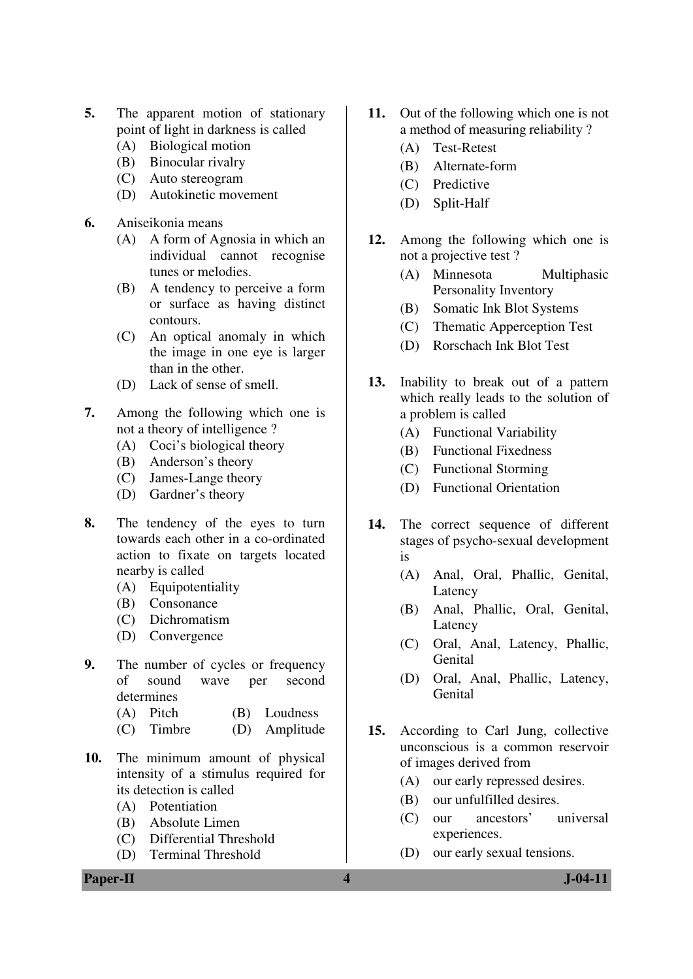- **5.** The apparent motion of stationary point of light in darkness is called
	- (A) Biological motion
	- (B) Binocular rivalry
	- (C) Auto stereogram
	- (D) Autokinetic movement
- **6.** Aniseikonia means
	- (A) A form of Agnosia in which an individual cannot recognise tunes or melodies.
	- (B) A tendency to perceive a form or surface as having distinct contours.
	- (C) An optical anomaly in which the image in one eye is larger than in the other.
	- (D) Lack of sense of smell.
- **7.** Among the following which one is not a theory of intelligence ?
	- (A) Coci's biological theory
	- (B) Anderson's theory
	- (C) James-Lange theory
	- (D) Gardner's theory
- **8.** The tendency of the eyes to turn towards each other in a co-ordinated action to fixate on targets located nearby is called
	- (A) Equipotentiality
	- (B) Consonance
	- (C) Dichromatism
	- (D) Convergence
- **9.** The number of cycles or frequency of sound wave per second determines
	- (A) Pitch (B) Loudness
	- (C) Timbre (D) Amplitude
- **10.** The minimum amount of physical intensity of a stimulus required for its detection is called
	- (A) Potentiation
	- (B) Absolute Limen
	- (C) Differential Threshold
	- (D) Terminal Threshold
- **11.** Out of the following which one is not a method of measuring reliability ?
	- (A) Test-Retest
	- (B) Alternate-form
	- (C) Predictive
	- (D) Split-Half
- **12.** Among the following which one is not a projective test ?
	- (A) Minnesota Multiphasic Personality Inventory
	- (B) Somatic Ink Blot Systems
	- (C) Thematic Apperception Test
	- (D) Rorschach Ink Blot Test
- **13.** Inability to break out of a pattern which really leads to the solution of a problem is called
	- (A) Functional Variability
	- (B) Functional Fixedness
	- (C) Functional Storming
	- (D) Functional Orientation
- **14.** The correct sequence of different stages of psycho-sexual development is
	- (A) Anal, Oral, Phallic, Genital, Latency
	- (B) Anal, Phallic, Oral, Genital, Latency
	- (C) Oral, Anal, Latency, Phallic, Genital
	- (D) Oral, Anal, Phallic, Latency, **Genital**
- **15.** According to Carl Jung, collective unconscious is a common reservoir of images derived from
	- (A) our early repressed desires.
	- (B) our unfulfilled desires.
	- (C) our ancestors' universal experiences.
	- (D) our early sexual tensions.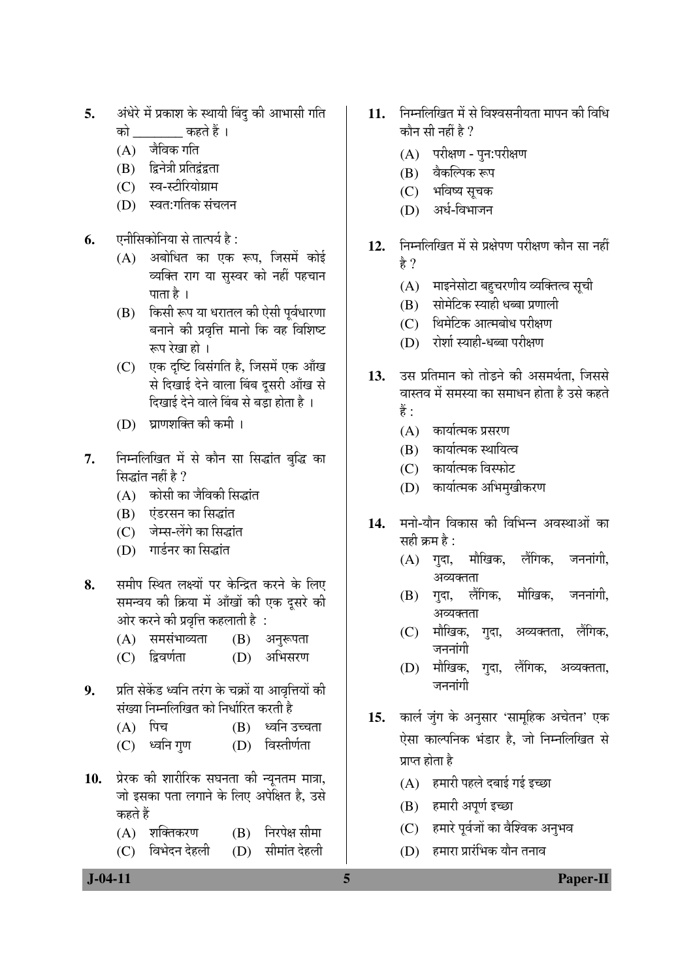- अंधेरे में प्रकाश के स्थायी बिंदु की आभासी गति 5. कहते हैं । को
	- $(A)$  जैविक गति
	- (B) द्विनेत्री प्रतिद्वंद्वता
	- (C) स्व-स्टीरियोग्राम
	- (D) स्वत:गतिक संचलन
- एनीसिकोनिया से तात्पर्य है : 6.
	- अबोधित का एक रूप, जिसमें कोई  $(A)$ व्यक्ति राग या सस्वर को नहीं पहचान पाता है ।
	- (B) किसी रूप या धरातल की ऐसी पूर्वधारणा बनाने की प्रवृत्ति मानो कि वह विशिष्ट रूप रेखा हो ।
	- (C) एक दृष्टि विसंगति है, जिसमें एक आँख से दिखाई देने वाला बिंब दूसरी आँख से दिखाई देने वाले बिंब से बड़ा होता है।
	- (D) घाणशक्ति की कमी ।
- निम्नलिखित में से कौन सा सिद्धांत बुद्धि का 7. सिद्धांत नहीं है ?
	- (A) कोसी का जैविकी सिद्धांत
	- (B) एंडरसन का सिद्धांत
	- (C) जेम्स-लेंगे का सिद्धांत
	- (D) गार्डनर का सिद्धांत
- समीप स्थित लक्ष्यों पर केन्द्रित करने के लिए 8. समन्वय की क्रिया में आँखों की एक दूसरे की ओर करने की प्रवृत्ति कहलाती है :
	- (A) समसंभाव्यता  $(B)$  अनुरूपता
	- (D) अभिसरण  $(C)$  द्विवर्णता
- प्रति सेकेंड ध्वनि तरंग के चक्रों या आवृत्तियों की 9. संख्या निम्नलिखित को निर्धारित करती है
	- $(A)$  पिच ध्वनि उच्चता (B)
	- $(C)$  ध्वनि गुण (D) विस्तीर्णता
- 10. प्रेरक की शारीरिक सघनता की न्यूनतम मात्रा, जो इसका पता लगाने के लिए अपेक्षित है, उसे कहते हैं
	- $(A)$  शक्तिकरण निरपेक्ष सीमा (B)
	- $(C)$  विभेदन देहली (D) सीमांत देहली
- 11. निम्नलिखित में से विश्वसनीयता मापन की विधि कौन सी नहीं है ?
	- (A) परीक्षण पन:परीक्षण
	- (B) वैकल्पिक रूप
	- (C) भविष्य सचक
	- (D) अर्ध-विभाजन
- निम्नलिखित में से प्रक्षेपण परीक्षण कौन सा नहीं  $12.$ हे ?
	- (A) माइनेसोटा बहुचरणीय व्यक्तित्व सूची
	- (B) सोमेटिक स्याही धब्बा प्रणाली
	- (C) थिमेटिक आत्मबोध परीक्षण
	- (D) रोशां स्याही-धब्बा परीक्षण
- उस प्रतिमान को तोडने की असमर्थता. जिससे  $13.$ वास्तव में समस्या का समाधन होता है उसे कहते हैं :
	- $(A)$  कार्यात्मक प्रसरण
	- (B) कार्यात्मक स्थायित्व
	- (C) कार्यात्मक विस्फोट
	- (D) कार्यात्मक अभिमुखीकरण
- मनो-यौन विकास की विभिन्न अवस्थाओं का 14. सही क्रम है :
	- (A) गुदा, मौखिक, लैंगिक. जननांगी. अव्यक्तता
	- (B) गदा, लैंगिक, मौखिक, जननांगी. अव्यक्तता
	- (C) मौखिक, गदा, अव्यक्तता. लैंगिक. जननांगी
	- (D) मौखिक, गुदा, लैंगिक, अव्यक्तता, जननांगी
- 15. कार्ल जुंग के अनुसार 'सामूहिक अचेतन' एक ऐसा काल्पनिक भंडार है, जो निम्नलिखित से प्राप्त होता है
	- $(A)$  हमारी पहले दबाई गई इच्छा
	- (B) हमारी अपूर्ण इच्छा

5

- (C) हमारे पूर्वजों का वैश्विक अनुभव
- (D) हमारा प्रारंभिक यौन तनाव

#### **Paper-II**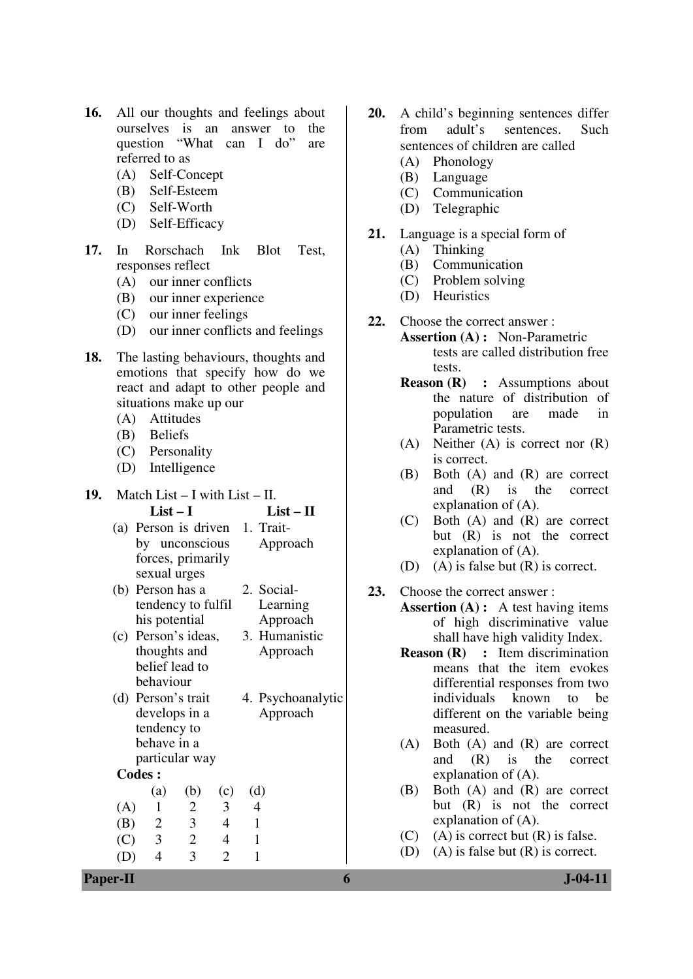- **16.** All our thoughts and feelings about ourselves is an answer to the question "What can I do" are referred to as
	- (A) Self-Concept
	- (B) Self-Esteem
	- (C) Self-Worth
	- (D) Self-Efficacy
- **17.** In Rorschach Ink Blot Test, responses reflect
	- (A) our inner conflicts
	- (B) our inner experience
	- (C) our inner feelings
	- (D) our inner conflicts and feelings
- **18.** The lasting behaviours, thoughts and emotions that specify how do we react and adapt to other people and situations make up our
	- (A) Attitudes
	- (B) Beliefs
	- (C) Personality
	- (D) Intelligence
- **19.** Match List I with List II. **List – I List – II** 
	- (a) Person is driven 1. Traitby unconscious forces, primarily sexual urges Approach
	- (b) Person has a tendency to fulfil his potential 2. Social-Learning Approach
	- (c) Person's ideas, thoughts and belief lead to behaviour 3. Humanistic
	- (d) Person's trait develops in a tendency to behave in a particular way 4. Psychoanalytic Approach

Approach

# **Codes :**

 (a) (b) (c) (d) (A) 1 2 3 4 (B) 2 3 4 1 (C) 3 2 4 1 (D) 4 3 2 1

- **20.** A child's beginning sentences differ from adult's sentences. Such sentences of children are called
	- (A) Phonology
	- (B) Language
	- (C) Communication
	- (D) Telegraphic
- **21.** Language is a special form of
	- (A) Thinking
	- (B) Communication
	- (C) Problem solving
	- (D) Heuristics
- **22.** Choose the correct answer :
	- **Assertion (A) :** Non-Parametric tests are called distribution free tests.
	- **Reason (R) :** Assumptions about the nature of distribution of population are made in Parametric tests.
	- (A) Neither (A) is correct nor (R) is correct.
	- (B) Both (A) and (R) are correct and (R) is the correct explanation of (A).
	- (C) Both (A) and (R) are correct but (R) is not the correct explanation of (A).
	- (D) (A) is false but (R) is correct.
- **23.** Choose the correct answer :
	- **Assertion (A) :** A test having items of high discriminative value shall have high validity Index.
		- **Reason (R) :** Item discrimination means that the item evokes differential responses from two individuals known to be different on the variable being measured.
		- (A) Both (A) and (R) are correct and (R) is the correct explanation of (A).
		- (B) Both (A) and (R) are correct but (R) is not the correct explanation of (A).
		- $(C)$  (A) is correct but  $(R)$  is false.
		- (D) (A) is false but (R) is correct.

**Paper-II 6 J-04-11**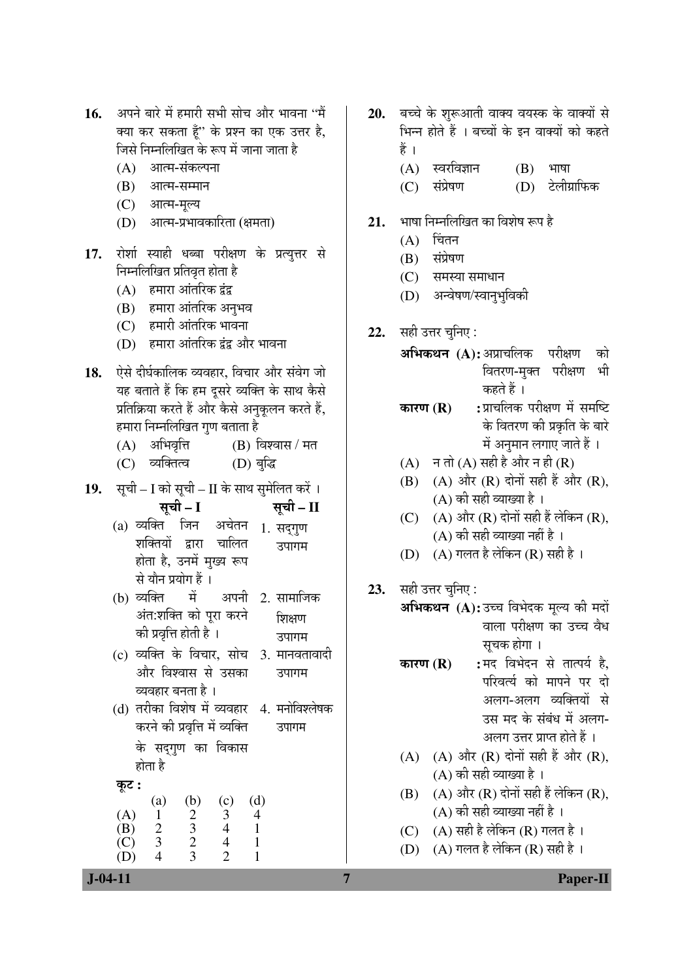- 16. अपने बारे में हमारी सभी सोच और भावना "मैं क्या कर सकता हूँ" के प्रश्न का एक उत्तर है, जिसे निम्नलिखित के रूप में जाना जाता है
	- $(A)$  आत्म-संकल्पना
	- $(B)$  आत्म-सम्मान
	- (C) आत्म-मुल्य
	- (D) आत्म-प्रभावकारिता (क्षमता)
- 17. रोशो स्याही धब्बा परीक्षण के प्रत्युत्तर से निम्नलिखित प्रतिवृत होता है
	- $(A)$  हमारा आंतरिक द्वंद्र
	- (B) हमारा आंतरिक अनुभव
	- $(C)$  हमारी आंतरिक भावना
	- (D) हमारा आंतरिक द्रंद्र और भावना
- 18. ऐसे दीर्घकालिक व्यवहार, विचार और संवेग जो यह बताते हैं कि हम दुसरे व्यक्ति के साथ कैसे प्रतिक्रिया करते हैं और कैसे अनुकूलन करते हैं, हमारा निम्नलिखित गण बताता है
	- $(A)$  अभिवृत्ति  $(B)$  विश्वास / मत
	- (C) व्यक्तित्व (D) बुद्धि
- 19. सूची I को सूची II के साथ सुमेलित करें ।

सूची – I सूची – II

- (a) व्यक्ति जिन अचेतन शक्तियों द्वारा चालित होता है, उनमें मुख्य रूप से यौन प्रयोग हैं । 1. सदगुण उपागम
- (b) व्यक्ति में अपनी अंत:शक्ति को पूरा करने की प्रवृत्ति होती है । 2. सामाजिक য়িয়েতা उपागम
- (c) व्यक्ति के विचार, सोच और विश्वास से उसका व्यवहार बनता है । 3. मानवतावादी उपागम
- (d) तरीका विशेष में व्यवहार 4. मनोविश्लेषक करने की प्रवृत्ति में व्यक्ति उपागम

के सदगण का विकास होता है

æú™ü **:**

|     | (a) | (b) | (c) | (d) |
|-----|-----|-----|-----|-----|
| (A) |     | റ   | 2   |     |
| (B) | 2   | 3   | 4   |     |
| (C) | 3   | ∍   | 4   |     |
|     |     | з   |     |     |

- 20. बच्चे के शुरूआती वाक्य वयस्क के वाक्यों से भिन्न होते हैं । बच्चों के इन वाक्यों को कहते हैं ।
	- $(A)$  स्वरविज्ञान  $(B)$  भाषा
	- (C) संप्रेषण (D) टेलीग्राफिक
- 21. भाषा निम्नलिखित का विशेष रूप है
	- $(A)$  चिंतन
	- $(B)$  संप्रेषण
	- $(C)$  समस्या समाधान
	- (D) अन्वेषण/स्वानुभुविकी
- **22.** सही उत्तर चुनिए :

**अभिकथन (A):** अप्राचलिक परीक्षण को वितरण-मुक्त परीक्षण भी कहते हैं ।

**कारण (R) :** प्राचलिक परीक्षण में समष्टि के वितरण की प्रकृति के बारे  $\vec{H}$  अनुमान लगाए जाते हैं ।

- $(A)$  −  $\exists$   $\exists$   $\exists$   $(A)$   $\forall$   $\forall$   $\exists$   $\exists$   $\exists$   $\exists$   $\exists$   $(R)$
- (B) (A) और  $(R)$  दोनों सही हैं और  $(R)$ . (A) की सही व्याख्या है ।
- (C)  $(A)$  और  $(R)$  दोनों सही हैं लेकिन  $(R)$ . (A) की सही व्याख्या नहीं है ।
- (D)  $(A)$  गलत है लेकिन (R) सही है ।
- 23. सही उत्तर चुनिए :

आभकथन (A): उच्च विभेदक मुल्य की मदों वाला परीक्षण का उच्च वैध सचक होगा ।

- **कारण (R) :** मद विभेदन से तात्पर्य है, परिवर्त्य को मापने पर दो अलग-अलग व्यक्तियों से
	- उस मद के संबंध में अलग-

अलग उत्तर प्राप्त होते हैं ।

- (A)  $(A)$  और  $(R)$  दोनों सही हैं और  $(R)$ , (A) की सही व्याख्या है।
- (B)  $(A)$  और  $(R)$  दोनों सही हैं लेकिन  $(R)$ , (A) की सही व्याख्या नहीं है ।
- (C)  $(A)$  सही है लेकिन (R) गलत है ।
- (D)  $(A)$  गलत है लेकिन (R) सही है ।

 **J-04-11 7 Paper-II**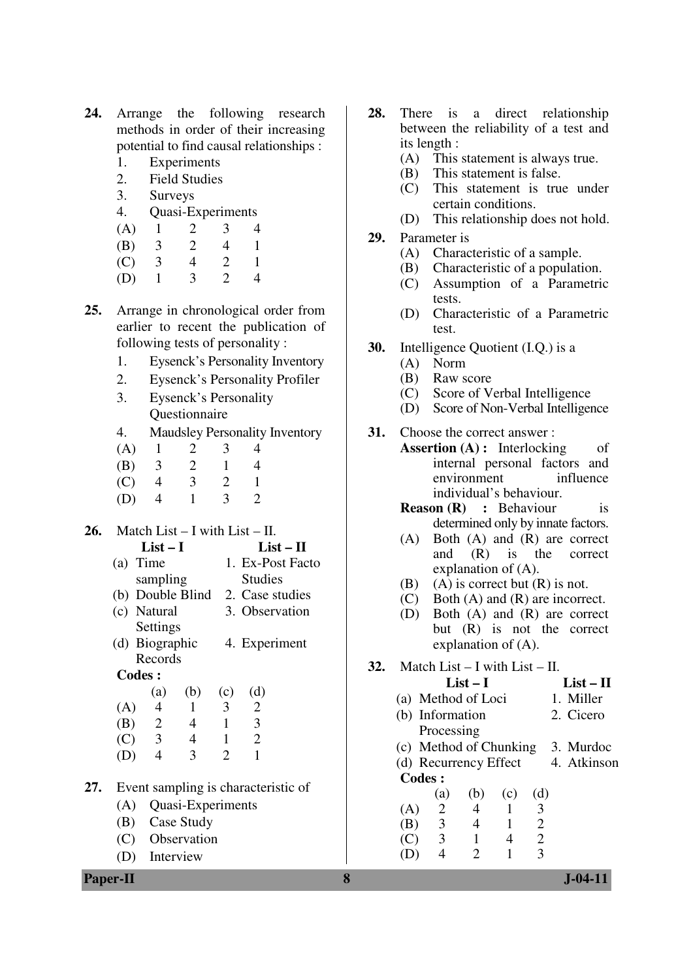- **24.** Arrange the following research methods in order of their increasing potential to find causal relationships :
	- 1. Experiments
	- 2. Field Studies
	- 3. Surveys
	- 4. Quasi-Experiments
	- (A) 1 2 3 4
	- (B) 3 2 4 1
	- (C) 3 4 2 1
	- (D) 1 3 2 4
- **25.** Arrange in chronological order from earlier to recent the publication of following tests of personality :
	- 1. Eysenck's Personality Inventory
	- 2. Eysenck's Personality Profiler
	- 3. Eysenck's Personality Questionnaire
	- 4. Maudsley Personality Inventory
	- (A)  $1 \t 2 \t 3 \t 4$ <br>(B)  $3 \t 2 \t 1 \t 4$
	- (B) 3 2 1 4
	- (C) 4 3 2 1
	- (D) 4 1 3 2

# **26.** Match List – I with List – II.

- **List I List II**  (a) Time sampling 1. Ex-Post Facto Studies
- (b) Double Blind 2. Case studies
- (c) Natural Settings 3. Observation
- (d) Biographic Records 4. Experiment

## **Codes :**

|     | (a)            | (b) | (c) | (d)                   |
|-----|----------------|-----|-----|-----------------------|
| (A) | 4              |     | 3   | $\mathcal{D}_{\cdot}$ |
| (B) | $\overline{2}$ | 4   |     | 3                     |
| (C) | 3              | 4   |     | $\mathcal{D}_{\cdot}$ |
| (D) | 4              | 3   | 2   |                       |

- **27.** Event sampling is characteristic of
	- (A) Quasi-Experiments
	- (B) Case Study
	- (C) Observation
	- (D) Interview
- **28.** There is a direct relationship between the reliability of a test and its length :
	- (A) This statement is always true.
	- (B) This statement is false.
	- (C) This statement is true under certain conditions.
	- (D) This relationship does not hold.
- **29.** Parameter is
	- (A) Characteristic of a sample.
	- (B) Characteristic of a population.
	- (C) Assumption of a Parametric tests.
	- (D) Characteristic of a Parametric test.
- **30.** Intelligence Quotient (I.Q.) is a
	- (A) Norm
	- (B) Raw score
	- (C) Score of Verbal Intelligence
	- (D) Score of Non-Verbal Intelligence
- **31.** Choose the correct answer :
	- **Assertion (A) :** Interlocking of internal personal factors and environment influence individual's behaviour.
		- **Reason (R) :** Behaviour is determined only by innate factors.
		- (A) Both (A) and (R) are correct<br>and  $(R)$  is the correct and (R) is the correct explanation of (A).
		- (B) (A) is correct but  $(R)$  is not.
		- (C) Both (A) and (R) are incorrect.
		- (D) Both (A) and (R) are correct but (R) is not the correct explanation of (A).
- **32.** Match List I with List II.

|               |                                 | $List-I$ |     |                |  | $List - II$ |  |
|---------------|---------------------------------|----------|-----|----------------|--|-------------|--|
|               | (a) Method of Loci<br>1. Miller |          |     |                |  |             |  |
|               | (b) Information                 |          |     |                |  | 2. Cicero   |  |
|               | Processing                      |          |     |                |  |             |  |
|               | (c) Method of Chunking          |          |     |                |  | 3. Murdoc   |  |
|               | (d) Recurrency Effect           |          |     |                |  | 4. Atkinson |  |
| <b>Codes:</b> |                                 |          |     |                |  |             |  |
|               | (a)                             | (b)      | (c) | (d)            |  |             |  |
| (A)           | 2                               | 4        | 1   | 3              |  |             |  |
| (B)           | 3                               | 4        | 1   | $\overline{2}$ |  |             |  |
| (C)           | $\overline{\mathbf{3}}$         | 1        | 4   | 2              |  |             |  |
|               |                                 | 2        |     |                |  |             |  |
|               |                                 |          |     |                |  |             |  |

**Paper-II 8 J-04-11**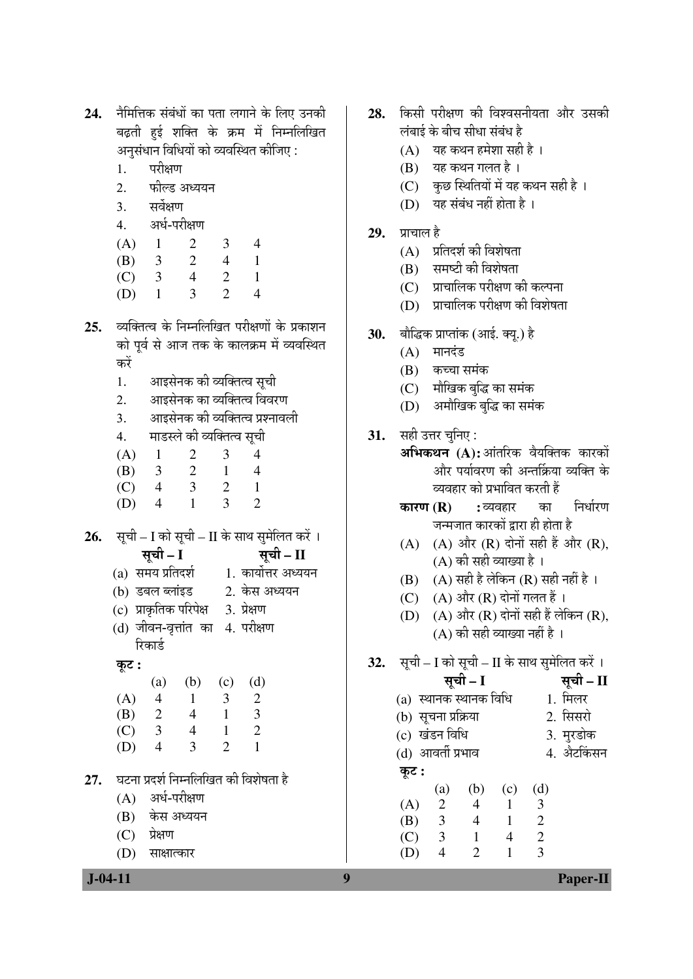- नैमित्तिक संबंधों का पता लगाने के लिए उनकी 24. बढ़ती हुई शक्ति के क्रम में निम्नलिखित अनसंधान विधियों को व्यवस्थित कीजिए:
	- परीक्षण 1.
	- 2. फील्ड अध्ययन
	- सर्वेक्षण 3.
	- अर्ध-परीक्षण  $\overline{4}$ .
	- $(A)$  $\mathbf{1}$  $\overline{2}$ 3  $\overline{4}$  $\overline{2}$  $\mathbf{1}$ (B)  $\overline{3}$  $\overline{4}$ 2  $\overline{4}$
	- $(C)$ 3  $\mathbf{1}$  $\overline{\mathcal{E}}$  $\mathfrak{D}$  $(D)$  $\mathbf{1}$  $\Delta$
- व्यक्तित्व के निम्नलिखित परीक्षणों के प्रकाशन  $25.$ को पूर्व से आज तक के कालक्रम में व्यवस्थित करें
	- आइसेनक की व्यक्तित्व सची  $1.$
	- आइसेनक का व्यक्तित्व विवरण 2.
	- आइसेनक की व्यक्तित्व प्रश्नावली  $\mathcal{E}$
	- माडस्ले की व्यक्तित्व सची  $\overline{4}$ .
	- $(A)$  $\mathbf{1}$  $\overline{2}$ 3  $\overline{\mathcal{A}}$
	- (B)  $\mathcal{R}$  $\mathcal{D}_{\alpha}$  $\mathbf{1}$  $\overline{\mathbf{4}}$
	- $\overline{4}$ 3  $\mathcal{D}_{\alpha}$  $\mathbf{1}$  $(C)$
	- $\overline{4}$  $\mathbf{1}$ 3  $\overline{2}$ (D)
- सूची I को सूची II के साथ सुमेलित करें । 26. सूची – I सूची – II
	- (a) समय प्रतिदर्श 1. कार्योत्तर अध्ययन
	- (b) डबल ब्लांइड 2. केस अध्ययन
	- (c) प्राकृतिक परिपेक्ष 3. प्रेक्षण
	- (d) जीवन-वृत्तांत का 4. परीक्षण रिकार्ड

# कूट :

|     | (a) | (b) | (c) | (d) |
|-----|-----|-----|-----|-----|
| (A) | 4   | 1   | 3   | 2   |
| (B) | 2   | 4   | 1   | 3   |
| (C) | 3   | 4   | 1   | 2   |
| (D) | 4   | 3   | 2   | 1   |
|     |     |     |     |     |

- घटना प्रदर्श निम्नलिखित की विशेषता है  $27.$ 
	- $(A)$  अर्ध-परीक्षण
	- केस अध्ययन (B)
	- $(C)$ प्रेक्षण

 $J - 04 - 11$ 

(D) साक्षात्कार

- किसी परीक्षण की विश्वसनीयता और उसकी **28.** लंबाई के बीच सीधा संबंध है
	- $(A)$  यह कथन हमेशा सही है।
	- $(B)$  यह कथन गलत है।
	- (C) कुछ स्थितियों में यह कथन सही है।
	- (D) यह संबंध नहीं होता है।
- प्राचाल है 29.
	- $(A)$  प्रतिदर्श की विशेषता
	- (B) समष्टी की विशेषता
	- (C) प्राचालिक परीक्षण की कल्पना
	- (D) प्राचालिक परीक्षण की विशेषता
- बौद्धिक प्राप्तांक (आई. क्यू.) है 30.
	- $(A)$  मानदंड
	- (B) कच्चा समंक
	- (C) मौखिक बद्धि का समंक
	- (D) अमौखिक बुद्धि का समंक
- **31.** सही उत्तर चूनिए:
	- अभिकथन (A):आंतरिक वैयक्तिक कारकों और पर्यावरण की अन्तर्क्रिया व्यक्ति के व्यवहार को प्रभावित करती हैं
		- निर्धारण कारण $(R)$ : व्यवहार का जन्मजात कारकों द्रारा ही होता है
		- (A) (A) और (R) दोनों सही हैं और (R).  $(A)$  की सही व्याख्या है।
		- $(B)$   $(A)$  सही है लेकिन  $(R)$  सही नहीं है ।
		- (C)  $(A)$  और  $(R)$  दोनों गलत हैं।
		- (D)  $(A)$  और  $(R)$  दोनों सही हैं लेकिन  $(R)$ ,  $(A)$  की सही व्याख्या नहीं है ।
- 32. सूची – I को सूची – II के साथ सुमेलित करें ।
	- सची II 1 मिलर 2. सिसरो
	- 3. मरडोक
	- 4. औटकिंसन (d) आवर्ती प्रभाव

 $\overline{3}$ 

 $(c)$   $(d)$ 

 $\mathbf{1}$ 

कट : (a) (b)

सची - I

(a) स्थानक स्थानक विधि

(b) सूचना प्रक्रिया

 $\overline{\mathcal{A}}$ 

 $(D)$ 

(c) खंडन विधि

| (A) | 2 | 4 |   | 3 |
|-----|---|---|---|---|
| (B) | 3 | 4 |   | 2 |
| (C) | 3 |   | 4 | 2 |

 $\mathcal{D}_{\alpha}$ 

**Paper-II** 

9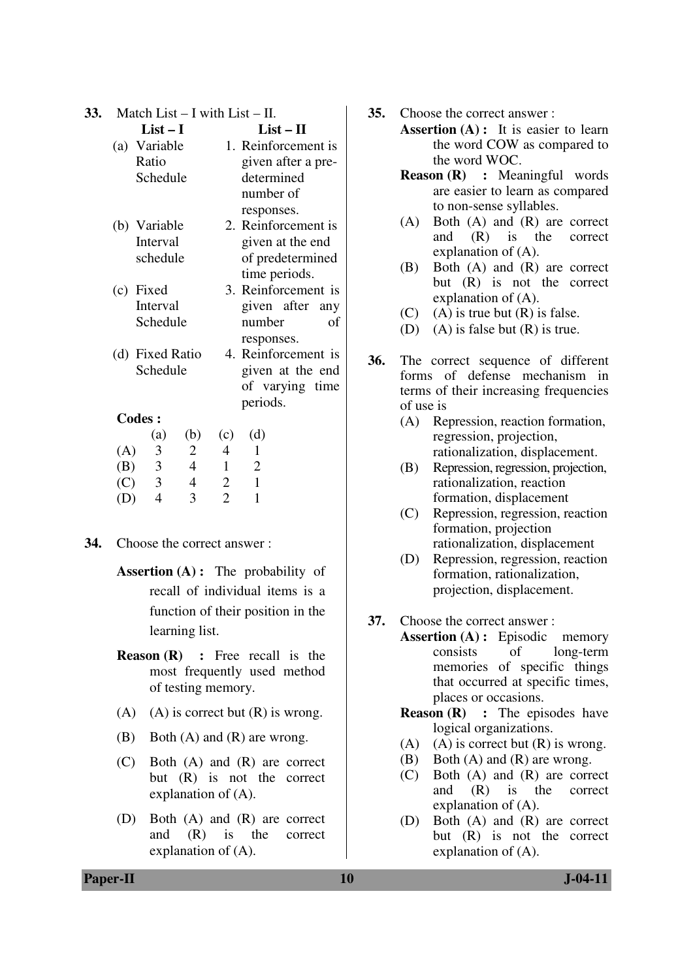| 33. Match List $- I$ with List $- II$ . |  |
|-----------------------------------------|--|
|-----------------------------------------|--|

|     | $List-I$                |                          |                | $List-II$           |
|-----|-------------------------|--------------------------|----------------|---------------------|
|     | (a) Variable            |                          |                | 1. Reinforcement is |
|     | Ratio                   |                          |                | given after a pre-  |
|     | Schedule                |                          |                | determined          |
|     |                         |                          |                | number of           |
|     |                         |                          |                | responses.          |
|     | (b) Variable            |                          |                | 2. Reinforcement is |
|     | Interval                |                          |                | given at the end    |
|     | schedule                |                          |                | of predetermined    |
|     |                         |                          |                | time periods.       |
|     | (c) Fixed               |                          |                | 3. Reinforcement is |
|     | Interval                |                          |                | given after any     |
|     | Schedule                |                          |                | number<br>оf        |
|     |                         |                          |                | responses.          |
|     | (d) Fixed Ratio         |                          |                | 4. Reinforcement is |
|     | Schedule                |                          |                | given at the end    |
|     |                         |                          |                | of varying time     |
|     |                         |                          |                | periods.            |
|     | <b>Codes:</b>           |                          |                |                     |
|     | (a)                     | (b)                      | (c)            | (d)                 |
| (A) | 3                       | 2                        | 4              | 1                   |
| (B) | $\overline{\mathbf{3}}$ | $\overline{\mathcal{A}}$ | $\mathbf{1}$   | $\overline{2}$      |
| (C) | $\overline{\mathbf{3}}$ | $\overline{4}$           | $\overline{2}$ | $\mathbf{1}$        |
| (D) | $\overline{4}$          | 3                        | $\overline{2}$ | 1                   |

- **34.** Choose the correct answer :
	- **Assertion (A):** The probability of recall of individual items is a function of their position in the learning list.
	- **Reason (R)** : Free recall is the most frequently used method of testing memory.
	- (A) (A) is correct but  $(R)$  is wrong.
	- (B) Both (A) and (R) are wrong.
	- (C) Both (A) and (R) are correct but (R) is not the correct explanation of (A).
	- (D) Both (A) and (R) are correct and (R) is the correct explanation of (A).
- **35.** Choose the correct answer :
	- **Assertion (A) :** It is easier to learn the word COW as compared to the word WOC.
	- **Reason (R) :** Meaningful words are easier to learn as compared to non-sense syllables.
	- (A) Both (A) and (R) are correct and (R) is the correct explanation of (A).
	- (B) Both (A) and (R) are correct but (R) is not the correct explanation of (A).
	- (C) (A) is true but  $(R)$  is false.
	- (D) (A) is false but (R) is true.
- **36.** The correct sequence of different forms of defense mechanism in terms of their increasing frequencies of use is
	- (A) Repression, reaction formation, regression, projection, rationalization, displacement.
	- (B) Repression, regression, projection, rationalization, reaction formation, displacement
	- (C) Repression, regression, reaction formation, projection rationalization, displacement
	- (D) Repression, regression, reaction formation, rationalization, projection, displacement.
- **37.** Choose the correct answer :
	- **Assertion (A) :** Episodic memory consists of long-term memories of specific things that occurred at specific times, places or occasions.
		- **Reason (R)** : The episodes have logical organizations.
		- (A) (A) is correct but  $(R)$  is wrong.
		- (B) Both (A) and (R) are wrong.
		- (C) Both (A) and (R) are correct and (R) is the correct explanation of (A).
		- (D) Both (A) and (R) are correct but (R) is not the correct explanation of (A).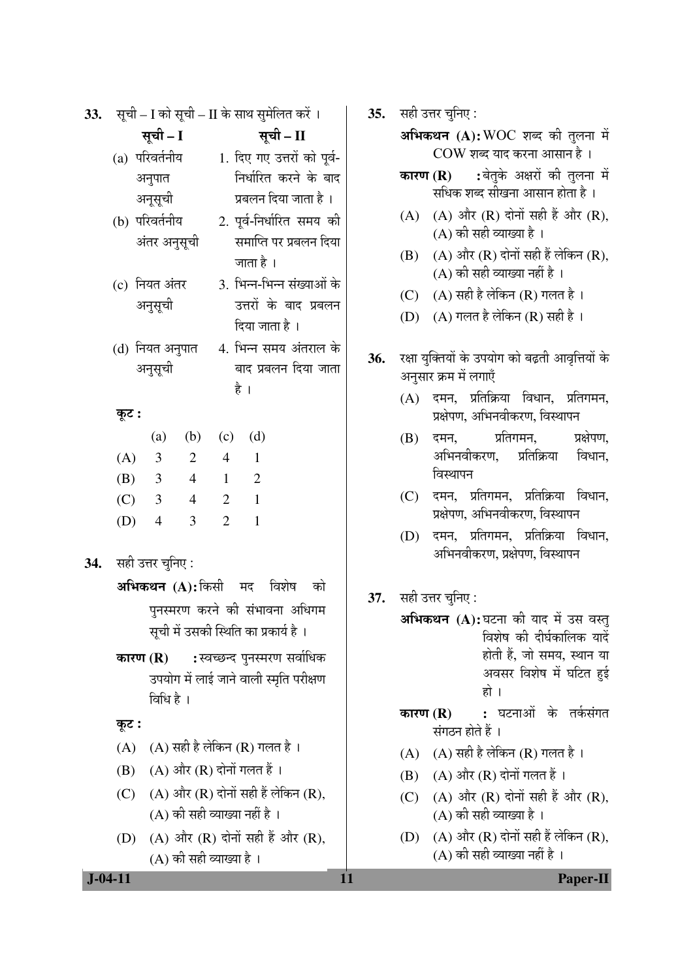| 33. |                       |                                     |                                  |                       |                     | सूची – I को सूची – II के साथ सुमेलित करें ।                                  |  | 35. | सही र           |
|-----|-----------------------|-------------------------------------|----------------------------------|-----------------------|---------------------|------------------------------------------------------------------------------|--|-----|-----------------|
|     |                       | सूची - I                            |                                  |                       |                     | सूची - II                                                                    |  |     | अभि             |
|     |                       | (a) परिवर्तनीय<br>अनुपात<br>अनूसूची |                                  |                       |                     | 1. दिए गए उत्तरों को पूर्व-<br>निर्धारित करने के बाद<br>प्रबलन दिया जाता है। |  |     | कारण            |
|     |                       | (b) परिवर्तनीय<br>अंतर अनुसूची      |                                  |                       |                     | 2. पूर्व-निर्धारित समय की<br>समाप्ति पर प्रबलन दिया                          |  |     | (A)             |
|     |                       |                                     |                                  |                       | जाता है ।           |                                                                              |  |     | (B)             |
|     |                       | (c) नियत अंतर<br>अनुसूची            |                                  |                       | दिया जाता है ।      | 3. भिन्न-भिन्न संख्याओं के<br>उत्तरों के बाद प्रबलन                          |  |     | (C)<br>(D)      |
|     |                       | अनुसूची                             | (d) नियत अनुपात                  |                       | है ।                | 4. भिन्न समय अंतराल के<br>बाद प्रबलन दिया जाता                               |  | 36. | रक्षा र<br>अनुस |
|     | कूट :                 |                                     |                                  |                       |                     |                                                                              |  |     | (A)             |
|     | (A)                   | (a)<br>$\overline{\mathbf{3}}$      | (b)<br>2                         | (c)<br>$\overline{4}$ | (d)<br>$\mathbf{1}$ |                                                                              |  |     | (B)             |
|     |                       | (B) 3 4                             |                                  | $\mathbf{1}$          | $\overline{2}$      |                                                                              |  |     |                 |
|     |                       | (C) 3 4                             |                                  |                       | $2 \quad 1$         |                                                                              |  |     | (C)             |
|     | $(D)$ 4               |                                     | 3                                | $\overline{2}$        | $\mathbf{1}$        |                                                                              |  |     | (D)             |
|     | 34. सही उत्तर चुनिए : |                                     |                                  |                       |                     |                                                                              |  |     |                 |
|     |                       |                                     |                                  |                       |                     | अभिकथन (A): किसी मद विशेष को                                                 |  | 37. | सही र           |
|     |                       |                                     |                                  |                       |                     | पुनस्मरण करने की संभावना अधिगम<br>सूची में उसकी स्थिति का प्रकार्य है ।      |  |     | अभि             |
|     | कारण $(R)$            | विधि है ।                           |                                  |                       |                     | :स्वच्छन्द पुनस्मरण सर्वाधिक<br>उपयोग में लाई जाने वाली स्मृति परीक्षण       |  |     |                 |
|     | कूट :                 |                                     |                                  |                       |                     |                                                                              |  |     | कारण            |
|     | (A)                   |                                     | $(A)$ सही है लेकिन $(R)$ गलत है। |                       |                     |                                                                              |  |     |                 |
|     | (B)                   |                                     | (A) और (R) दोनों गलत हैं ।       |                       |                     |                                                                              |  |     | (A)<br>(B)      |
|     | (C)                   |                                     | (A) की सही व्याख्या नहीं है ।    |                       |                     | $(A)$ और $(R)$ दोनों सही हैं लेकिन $(R)$ ,                                   |  |     | (C)             |
|     | (D)                   |                                     | (A) की सही व्याख्या है ।         |                       |                     | (A) और (R) दोनों सही हैं और (R),                                             |  |     | (D)             |
|     | $J - 04 - 11$         |                                     |                                  |                       |                     |                                                                              |  |     |                 |

उत्तर चनिए :

- **कथन (A):**WOC शब्द की तुलना में COW शब्द याद करना आसान है।
- :बेतके अक्षरों की तलना में  $\mathbf{T}(\mathbf{R})$ सधिक शब्द सीखना आसान होता है ।
- (A) और (R) दोनों सही हैं और (R),  $(A)$  की सही व्याख्या है।
- $(A)$  और  $(R)$  दोनों सही हैं लेकिन  $(R)$ . (A) की सही व्याख्या नहीं है ।
- $(A)$  सही है लेकिन  $(R)$  गलत है।
- $(A)$  गलत है लेकिन  $(R)$  सही है।
- युक्तियों के उपयोग को बढ़ती आवृत्तियों के ग़र क्रम में लगाएँ
	- दमन, प्रतिक्रिया विधान, प्रतिगमन, प्रक्षेपण. अभिनवीकरण. विस्थापन
	- दमन. प्रतिगमन. प्रक्षेपण. अभिनवीकरण. प्रतिक्रिया विधान. विस्थापन
	- दमन, प्रतिगमन, प्रतिक्रिया विधान, प्रक्षेपण, अभिनवीकरण, विस्थापन
	- दमन, प्रतिगमन, प्रतिक्रिया विधान, अभिनवीकरण, प्रक्षेपण, विस्थापन
- उत्तर चुनिए :
	- **कथन (A):**घटना की याद में उस वस्त् विशेष की दीर्घकालिक यादें होती हैं, जो समय, स्थान या अवसर विशेष में घटित हुई हो ।
	- : घटनाओं के तर्कसंगत  $\overline{\pi}$  (R) संगठन होते हैं ।
	- $(A)$  सही है लेकिन  $(R)$  गलत है।
	- $(A)$  और  $(R)$  दोनों गलत हैं।
	- (A) और (R) दोनों सही हैं और (R),  $(A)$  की सही व्याख्या है।
	- (A) और (R) दोनों सही हैं लेकिन (R).  $(A)$  की सही व्याख्या नहीं है ।

**Paper-II**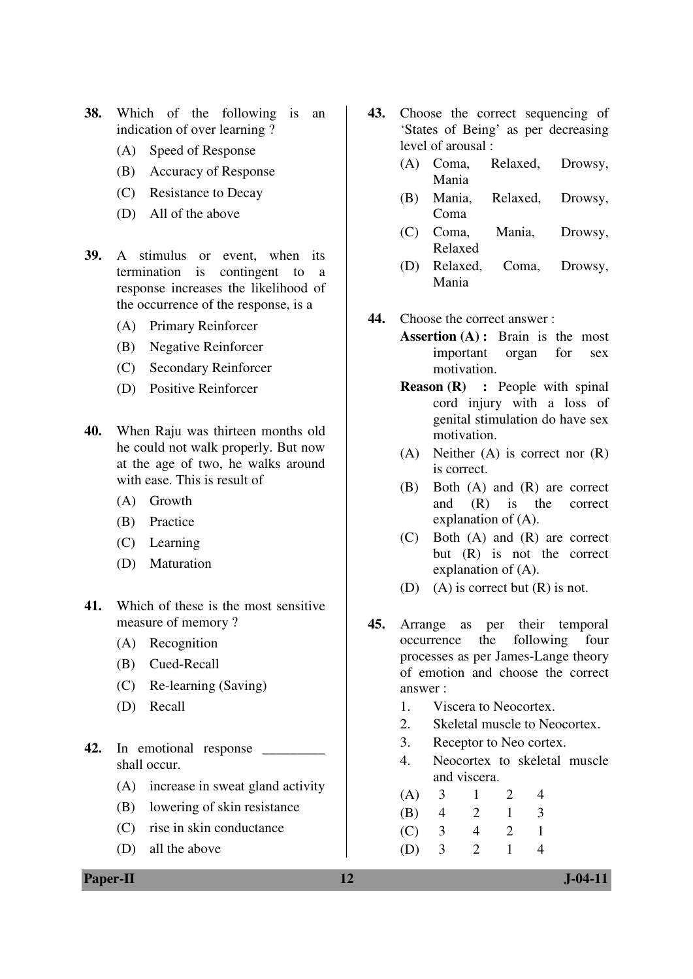- **38.** Which of the following is an indication of over learning ?
	- (A) Speed of Response
	- (B) Accuracy of Response
	- (C) Resistance to Decay
	- (D) All of the above
- **39.** A stimulus or event, when its termination is contingent to a response increases the likelihood of the occurrence of the response, is a
	- (A) Primary Reinforcer
	- (B) Negative Reinforcer
	- (C) Secondary Reinforcer
	- (D) Positive Reinforcer
- **40.** When Raju was thirteen months old he could not walk properly. But now at the age of two, he walks around with ease. This is result of
	- (A) Growth
	- (B) Practice
	- (C) Learning
	- (D) Maturation
- **41.** Which of these is the most sensitive measure of memory ?
	- (A) Recognition
	- (B) Cued-Recall
	- (C) Re-learning (Saving)
	- (D) Recall
- **42.** In emotional response \_\_\_\_\_\_\_\_\_ shall occur.
	- (A) increase in sweat gland activity
	- (B) lowering of skin resistance
	- (C) rise in skin conductance
	- (D) all the above
- **43.** Choose the correct sequencing of 'States of Being' as per decreasing level of arousal :
	- (A) Coma, Relaxed, Drowsy, Mania
	- (B) Mania, Relaxed, Drowsy, Coma
	- (C) Coma, Mania, Drowsy, Relaxed
	- (D) Relaxed, Coma, Drowsy, Mania
- **44.** Choose the correct answer :
	- **Assertion (A) :** Brain is the most important organ for sex motivation.
	- **Reason (R)** : People with spinal cord injury with a loss of genital stimulation do have sex motivation.
	- (A) Neither (A) is correct nor (R) is correct.
	- (B) Both (A) and (R) are correct and (R) is the correct explanation of (A).
	- (C) Both (A) and (R) are correct but (R) is not the correct explanation of (A).
	- (D) (A) is correct but  $(R)$  is not.
- **45.** Arrange as per their temporal occurrence the following four processes as per James-Lange theory of emotion and choose the correct answer :
	- 1. Viscera to Neocortex.
	- 2. Skeletal muscle to Neocortex.
	- 3. Receptor to Neo cortex.
	- 4. Neocortex to skeletal muscle and viscera.
	- (A) 3 1 2 4
	- (B) 4 2 1 3
	- (C) 3 4 2 1
	- (D) 3 2 1 4

**Paper-II 12 J-04-11**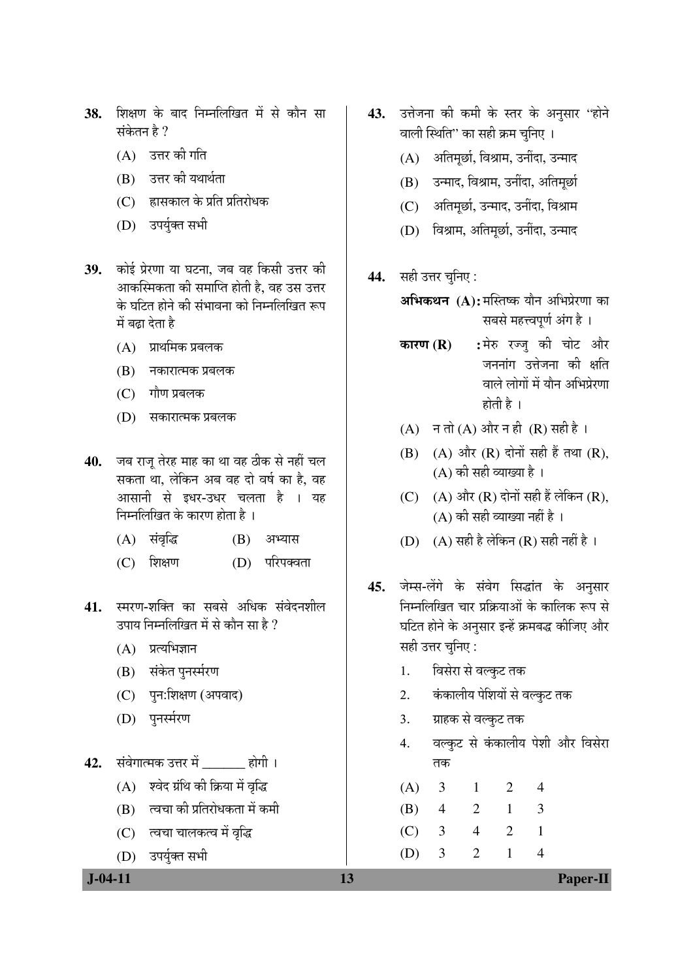- 38. शिक्षण के बाद निम्नलिखित में से कौन सा संकेतन है  $?$ 
	- $(A)$  उत्तर की गति
	- $(B)$  उत्तर की यथार्थता
	- $(C)$  ह्रासकाल के प्रति प्रतिरोधक
	- (D) उपर्युक्त सभी
- 39. कोई प्रेरणा या घटना, जब वह किसी उत्तर की आकस्मिकता की समाप्ति होती है, वह उस उत्तर <u>के घटित होने की संभावना को निम्नलिखित रूप</u> में बढ़ा देता है
	- $(A)$  प्राथमिक प्रबलक
	- $(B)$  नकारात्मक प्रबलक
	- $(C)$  गौण प्रबलक
	- (D) सकारात्मक प्रबलक
- 40. जब राज तेरह माह का था वह ठीक से नहीं चल सकता था. लेकिन अब वह दो वर्ष का है. वह आसानी से इधर-उधर चलता है । यह −<br>निम्नलिखित के कारण होता है ।
	- (A) संवृद्धि (B) अभ्यास
	- (C) शिक्षण (D) परिपक्वता
- 41. स्मरण-शक्ति का सबसे अधिक संवेदनशील उपाय निम्नलिखित में से कौन सा है ?
	- $(A)$  प्रत्यभिज्ञान
	- $(B)$  संकेत पुनर्स्मरण
	- (C) पन:शिक्षण (अपवाद)
	- (D) पुनर्स्मरण
- **42.** संवेगात्मक उत्तर में होगी ।
	- $(A)$  श्वेद ग्रंथि की क्रिया में वृद्धि
	- $(B)$  त्वचा की प्रतिरोधकता में कमी
	- (C) त्वचा चालकत्व में वृद्धि
	- (D) उपर्युक्त सभी
- 43. उत्तेजना की कमी के स्तर के अनुसार "होने वाली स्थिति" का सही क्रम चनिए ।
	- $(A)$  अतिमूर्छा, विश्राम, उनींदा, उन्माद
	- $(B)$  उन्माद, विश्राम, उनींदा, अतिमूर्छा
	- (C) अतिमूर्छा, उन्माद, उनींदा, विश्राम
	- (D) विश्राम, अतिमूर्छा, उनींदा, उन्माद
- 44. सही उत्तर चनिए :
	- अभिकथन (A): मस्तिष्क यौन अभिप्रेरणा का सबसे महत्त्वपर्ण अंग है ।
	- **कारण (R) :** मेरु रज्जु की चोट और  $\overline{a}$ ननांग उत्तेजना की क्षति वाले लोगों में यौन अभिप्रेरणा  $\overrightarrow{E}$ ती है ।
	- $(A)$   $\exists \overrightarrow{\Pi} (A)$  और न ही  $(R)$  सही है।
	- (B) (A) और  $(R)$  दोनों सही हैं तथा  $(R)$ , (A) की सही व्याख्या है।
	- (C)  $(A)$  और  $(R)$  दोनों सही हैं लेकिन  $(R)$ ,  $(A)$  की सही व्याख्या नहीं है ।
	- (D)  $(A)$  सही है लेकिन (R) सही नहीं है।
- 45. जेम्स-लेंगे के संवेग सिद्धांत के अनुसार −<br>निम्नलिखित चार प्रक्रियाओं के कालिक रूप से घटित होने के अनुसार इन्हें क्रमबद्ध कीजिए और सही उत्तर चनिए:
	- 1. विसेरा से वल्कूट तक
	- 2. कंकालीय पेशियों से वल्कट तक
	- 3. <del>प्राहक से वल्कुट तक</del>
	- 4. वल्कूट से कंकालीय पेशी और विसेरा तक

 (A) 3 1 2 4 (B) 4 2 1 3 (C) 3 4 2 1 (D) 3 2 1 4

 **J-04-11** Paper-II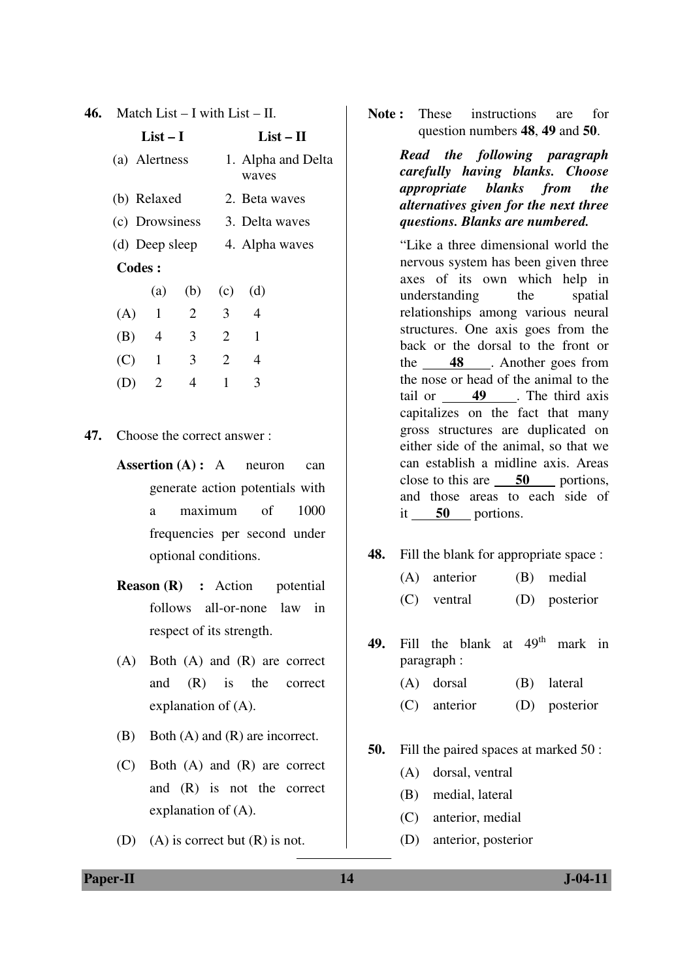|  | 46. Match List – I with List – II. |  |
|--|------------------------------------|--|
|--|------------------------------------|--|

|               | $List-I$       |                | $List - II$    |                               |  |  |
|---------------|----------------|----------------|----------------|-------------------------------|--|--|
|               | (a) Alertness  |                |                | 1. Alpha and Delta<br>waves   |  |  |
|               | (b) Relaxed    |                |                | 2. Beta waves                 |  |  |
|               |                |                |                | (c) Drowsiness 3. Delta waves |  |  |
|               |                |                |                | (d) Deep sleep 4. Alpha waves |  |  |
| <b>Codes:</b> |                |                |                |                               |  |  |
|               | (a)            |                | $(b)$ $(c)$    | (d)                           |  |  |
|               | $(A)$ 1        | 2              | 3 <sup>7</sup> | $\overline{4}$                |  |  |
| $(B)$ 4       |                | $\mathfrak{Z}$ | $\overline{2}$ | 1                             |  |  |
| (C)           | $\overline{1}$ | 3 <sup>7</sup> | 2              | 4                             |  |  |
|               | 2              | 4              | 1              | 3                             |  |  |
|               |                |                |                |                               |  |  |

- **47.** Choose the correct answer :
	- **Assertion (A) :** A neuron can generate action potentials with a maximum of 1000 frequencies per second under optional conditions.
	- **Reason (R) :** Action potential follows all-or-none law in respect of its strength.
	- (A) Both (A) and (R) are correct and (R) is the correct explanation of (A).
	- (B) Both (A) and (R) are incorrect.
	- (C) Both (A) and (R) are correct and (R) is not the correct explanation of (A).
	- (D) (A) is correct but (R) is not.

**Note:** These instructions are for question numbers **48**, **49** and **50**.

> *Read the following paragraph carefully having blanks. Choose appropriate blanks from the alternatives given for the next three questions. Blanks are numbered.*

> "Like a three dimensional world the nervous system has been given three axes of its own which help in understanding the spatial relationships among various neural structures. One axis goes from the back or the dorsal to the front or the **48** . Another goes from the nose or head of the animal to the tail or **49** . The third axis capitalizes on the fact that many gross structures are duplicated on either side of the animal, so that we can establish a midline axis. Areas close to this are **50** portions, and those areas to each side of it **50** portions.

**48.** Fill the blank for appropriate space :

- (A) anterior (B) medial
- (C) ventral (D) posterior

49. Fill the blank at 49<sup>th</sup> mark in paragraph :

- (A) dorsal (B) lateral
- (C) anterior (D) posterior
- **50.** Fill the paired spaces at marked 50 :
	- (A) dorsal, ventral
	- (B) medial, lateral
	- (C) anterior, medial
	- (D) anterior, posterior

**Paper-II 14** J-04-11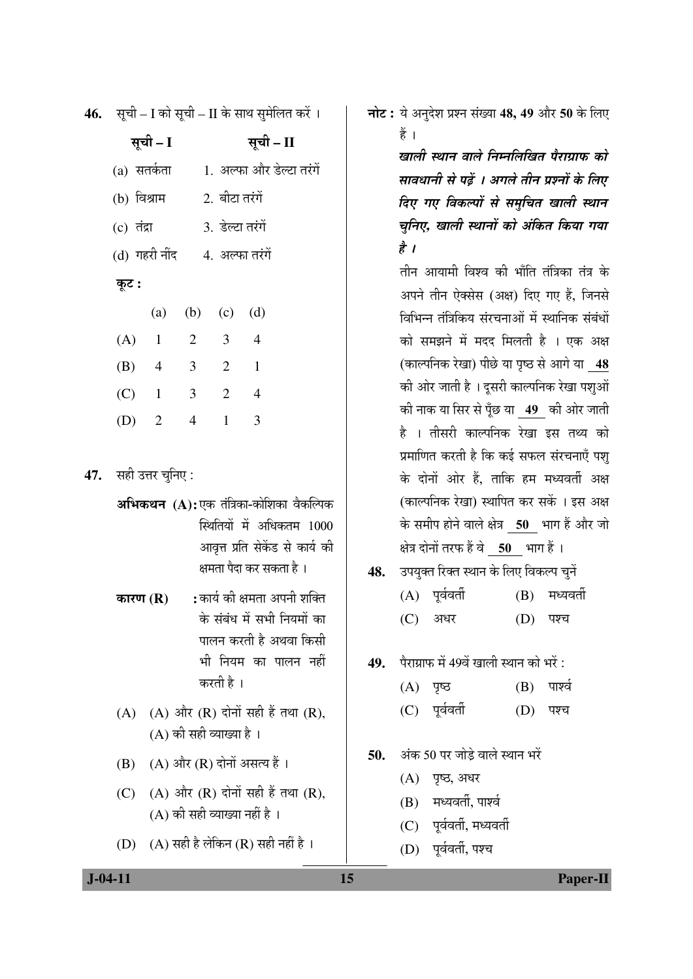**46.** सूची – I को सूची – II के साथ सुमेलित करें ।

| सूची – I      |                |                         |                  | सूची – II |                           |  |  |
|---------------|----------------|-------------------------|------------------|-----------|---------------------------|--|--|
| (a) सतर्कता   |                |                         |                  |           | 1. अल्फा और डेल्टा तरंगें |  |  |
| (b) विश्राम   |                |                         | 2. बीटा तरंगें   |           |                           |  |  |
| (c) तंद्रा    |                |                         | 3. डेल्टा तरंगें |           |                           |  |  |
| (d) गहरी नींद |                |                         | 4. अल्फा तरंगें  |           |                           |  |  |
| कूट :         |                |                         |                  |           |                           |  |  |
|               |                | (a) (b) (c) (d)         |                  |           |                           |  |  |
| $(A)$ 1       |                | $\overline{2}$          | $3 \quad 4$      |           |                           |  |  |
| $(B)$ 4       |                | $\overline{3}$          | 2                | 1         |                           |  |  |
| $(C)$ 1       |                | $\overline{\mathbf{3}}$ | 2 4              |           |                           |  |  |
| (D)           | $\overline{2}$ | $\overline{4}$          | $\mathbf{1}$     | 3         |                           |  |  |

47. सही उत्तर चुनिए:

अभिकथन (A):एक तंत्रिका-कोशिका वैकल्पिक स्थितियों में अधिकतम 1000 आवृत्त प्रति सेकेंड से कार्य की क्षमता पैदा कर सकता है ।

- : कार्य की क्षमता अपनी शक्ति कारण $(R)$ के संबंध में सभी नियमों का पालन करती है अथवा किसी भी नियम का पालन नहीं करती है ।
- $(A)$   $(A)$  और  $(R)$  दोनों सही हैं तथा  $(R)$ .  $(A)$  की सही व्याख्या है।
- $(B)$   $(A)$  और  $(R)$  दोनों असत्य हैं।
- (A) और (R) दोनों सही हैं तथा (R),  $(C)$  $(A)$  की सही व्याख्या नहीं है।
- (D) (A) सही है लेकिन (R) सही नहीं है।

नोट: ये अनुदेश प्रश्न संख्या 48, 49 और 50 के लिए हैं ।

> खाली स्थान वाले निम्नलिखित पैराग्राफ को सावधानी से पढ़ें । अगले तीन प्रश्नों के लिए दिए गए विकल्पों से समुचित खाली स्थान चुनिए, खाली स्थानों को अंकित किया गया  $\frac{\partial}{\partial x}$  /

> तीन आयामी विश्व की भाँति तंत्रिका तंत्र के अपने तीन ऐक्सेस (अक्ष) दिए गए हैं, जिनसे विभिन्न तंत्रिकिय संरचनाओं में स्थानिक संबंधों को समझने में मदद मिलती है । एक अक्ष (काल्पनिक रेखा) पीछे या पुष्ठ से आगे या 48 की ओर जाती है । दूसरी काल्पनिक रेखा पशुओं की नाक या सिर से पूँछ या 49 की ओर जाती है । तीसरी काल्पनिक रेखा इस तथ्य को प्रमाणित करती है कि कई सफल संरचनाएँ पश् के दोनों ओर हैं, ताकि हम मध्यवर्ती अक्ष (काल्पनिक रेखा) स्थापित कर सकें । इस अक्ष के समीप होने वाले क्षेत्र 50 भाग हैं और जो क्षेत्र दोनों तरफ हैं वे 50 भाग हैं।

- उपयुक्त रिक्त स्थान के लिए विकल्प चुनें 48.
	- $(A)$  पूर्ववर्ती  $(B)$  मध्यवर्ती
	- (C) अधर (D) पश्च
- पैराग्राफ में 49वें खाली स्थान को भरें : 49.
	- $(B)$  पार्श्व  $(A)$  पृष्ठ
	- $(C)$  पर्ववर्ती (D) पश्च
- अंक 50 पर जोड़े वाले स्थान भरें 50.
	- (A) पृष्ठ, अधर
	- (B) मध्यवर्ती, पार्श्व
	- (C) पर्ववर्ती, मध्यवर्ती
	- (D) पर्ववर्ती, पश्च

15

 $J - 04 - 11$